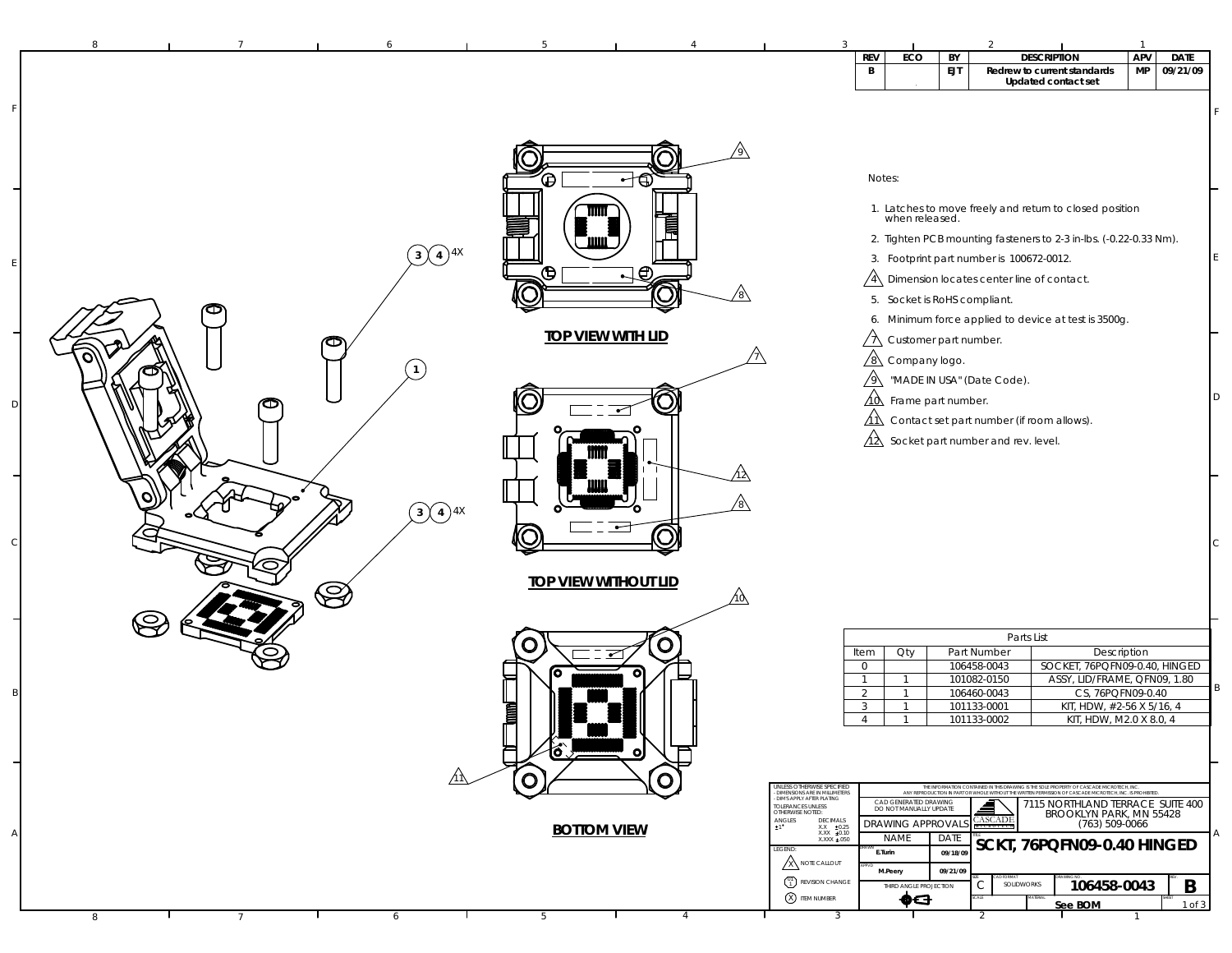| 8                                   |                 |                                        | 5                           |                |                                                                                                           | $\overline{3}$                                                              |                                                              |                  | $\overline{2}$                                                                                                                                |                                                   | $\mathbf{1}$ |                  |
|-------------------------------------|-----------------|----------------------------------------|-----------------------------|----------------|-----------------------------------------------------------------------------------------------------------|-----------------------------------------------------------------------------|--------------------------------------------------------------|------------------|-----------------------------------------------------------------------------------------------------------------------------------------------|---------------------------------------------------|--------------|------------------|
|                                     |                 |                                        |                             |                |                                                                                                           | <b>REV</b><br>B                                                             | ECO                                                          | BY<br><b>EJT</b> | <b>DESCRIPTION</b><br>Redrew to current standards                                                                                             |                                                   | APV<br>MP    | DATE<br>09/21/09 |
|                                     |                 |                                        |                             |                |                                                                                                           |                                                                             |                                                              |                  | Updated contact set                                                                                                                           |                                                   |              |                  |
|                                     |                 |                                        |                             |                |                                                                                                           |                                                                             |                                                              |                  |                                                                                                                                               |                                                   |              |                  |
|                                     |                 |                                        |                             |                |                                                                                                           |                                                                             |                                                              |                  |                                                                                                                                               |                                                   |              |                  |
|                                     |                 |                                        |                             |                |                                                                                                           |                                                                             |                                                              |                  |                                                                                                                                               |                                                   |              |                  |
|                                     |                 |                                        | Θ                           | 一句             |                                                                                                           | Notes:                                                                      |                                                              |                  |                                                                                                                                               |                                                   |              |                  |
|                                     |                 |                                        |                             |                |                                                                                                           |                                                                             |                                                              |                  | 1. Latches to move freely and return to closed position<br>when released.                                                                     |                                                   |              |                  |
|                                     |                 |                                        |                             | 肩              |                                                                                                           |                                                                             |                                                              |                  | 2. Tighten PCB mounting fasteners to 2-3 in-lbs. (-0.22-0.33 Nm).                                                                             |                                                   |              |                  |
|                                     |                 | $3(4)^{4X}$                            |                             |                |                                                                                                           |                                                                             |                                                              |                  | 3. Footprint part number is 100672-0012.                                                                                                      |                                                   |              |                  |
|                                     |                 |                                        | Œ                           | ્⊕             |                                                                                                           |                                                                             |                                                              |                  | $\sqrt{4}$ Dimension locates center line of contact.                                                                                          |                                                   |              |                  |
|                                     |                 |                                        |                             |                |                                                                                                           |                                                                             | 5. Socket is RoHS compliant.                                 |                  |                                                                                                                                               |                                                   |              |                  |
|                                     |                 |                                        | <b>TOP VIEW WITH LID</b>    |                |                                                                                                           |                                                                             |                                                              |                  | 6. Minimum force applied to device at test is 3500g.                                                                                          |                                                   |              |                  |
|                                     |                 | ത                                      |                             |                |                                                                                                           |                                                                             | $\sqrt{2}$ Customer part number.<br>$\sqrt{8}$ Company logo. |                  |                                                                                                                                               |                                                   |              |                  |
|                                     |                 | $\mathbf{1}$                           |                             |                |                                                                                                           |                                                                             |                                                              |                  | MADE IN USA" (Date Code).                                                                                                                     |                                                   |              |                  |
|                                     |                 |                                        |                             |                |                                                                                                           |                                                                             | $\overrightarrow{10}$ Frame part number.                     |                  |                                                                                                                                               |                                                   |              |                  |
|                                     |                 |                                        |                             |                |                                                                                                           |                                                                             |                                                              |                  | $\overrightarrow{\text{11}}$ Contact set part number (if room allows).                                                                        |                                                   |              |                  |
|                                     |                 |                                        |                             |                |                                                                                                           |                                                                             |                                                              |                  | $\overrightarrow{\Lambda}$ Socket part number and rev. level.                                                                                 |                                                   |              |                  |
|                                     |                 |                                        |                             |                |                                                                                                           |                                                                             |                                                              |                  |                                                                                                                                               |                                                   |              |                  |
|                                     |                 |                                        |                             |                |                                                                                                           |                                                                             |                                                              |                  |                                                                                                                                               |                                                   |              |                  |
|                                     |                 | $\left(3\right)$ $\left(4\right)$ $4X$ |                             |                |                                                                                                           |                                                                             |                                                              |                  |                                                                                                                                               |                                                   |              |                  |
|                                     |                 |                                        |                             |                |                                                                                                           |                                                                             |                                                              |                  |                                                                                                                                               |                                                   |              |                  |
|                                     |                 |                                        |                             |                |                                                                                                           |                                                                             |                                                              |                  |                                                                                                                                               |                                                   |              |                  |
|                                     |                 | $\bigotimes$                           | <b>TOP VIEW WITHOUT LID</b> |                |                                                                                                           |                                                                             |                                                              |                  |                                                                                                                                               |                                                   |              |                  |
|                                     |                 |                                        |                             |                | ΛΟ                                                                                                        |                                                                             |                                                              |                  |                                                                                                                                               |                                                   |              |                  |
| $\large \mathbf{\large \in \quad }$ |                 |                                        |                             | O              |                                                                                                           |                                                                             |                                                              |                  | Parts List                                                                                                                                    |                                                   |              |                  |
|                                     |                 |                                        | O                           |                |                                                                                                           | Item<br>$\circ$                                                             | Oty                                                          |                  | Part Number<br>106458-0043                                                                                                                    | Description<br>SOCKET, 76PQFN09-0.40, HINGED      |              |                  |
|                                     |                 |                                        |                             |                |                                                                                                           | $\mathbf{1}$<br>$\overline{2}$                                              | $\overline{1}$<br>$\overline{1}$                             |                  | 101082-0150<br>106460-0043                                                                                                                    | ASSY, LID/FRAME, QFN09, 1.80<br>CS, 76PQFN09-0.40 |              |                  |
|                                     |                 |                                        | <b>Tana</b>                 |                |                                                                                                           | $\mathbf{3}$                                                                | $\mathbf{1}$                                                 |                  | 101133-0001                                                                                                                                   | KIT, HDW, #2-56 X 5/16, 4                         |              |                  |
|                                     |                 |                                        |                             |                |                                                                                                           | $\overline{4}$                                                              |                                                              |                  | 101133-0002                                                                                                                                   | KIT, HDW, M2.0 X 8.0, 4                           |              |                  |
|                                     |                 |                                        |                             | o              |                                                                                                           |                                                                             |                                                              |                  |                                                                                                                                               |                                                   |              |                  |
|                                     |                 |                                        | O                           |                | UNLESS OTHERWISE SPECIFIED                                                                                |                                                                             |                                                              |                  | THE INFORMATION CONTAINED IN THIS DRAWING IS THE SOLE PROPERTY OF CASCADE MICROTECH, INC.                                                     |                                                   |              |                  |
|                                     |                 |                                        |                             |                | DIMENSIONS ARE IN MILLIMETERS<br><b>DIMS APPLY AFTER PLATING</b><br>TOLERANCES UNLESS<br>OTHERWISE NOTED: |                                                                             | CAD GENERATED DRAWING<br>DO NOT MANUALLY UPDATE              |                  | ANY REPRODUCTION IN PART OR WHOLE WITHOUT THE WRITTEN PERMISSION OF CASCADE MICROTECH, INC. IS PROHIBITED<br>7115 NORTHLAND TERRACE SUITE 400 |                                                   |              |                  |
|                                     |                 |                                        | <b>BOTTOM VIEW</b>          |                | $\begin{array}{ll} \textsf{ANGLES} \\ \texttt{1} \end{array}$                                             | DECIMALS<br>$\begin{array}{cc} XX & \pm 0.25 \\ XXX & \pm 0.10 \end{array}$ | <b>DRAWING APPROVALS</b>                                     |                  | <b>CASCADE</b>                                                                                                                                | BROOKLYN PARK, MN 55428<br>(763) 509-0066         |              |                  |
|                                     |                 |                                        |                             |                | LEGEND:                                                                                                   | XXXX ±.050<br>E.Turin                                                       | <b>NAME</b>                                                  | DATE<br>09/18/09 | SCKT, 76PQFN09-0.40 HINGED                                                                                                                    |                                                   |              |                  |
|                                     |                 |                                        |                             |                | <b>X NOTE CALLOUT</b><br>(1) REVISION CHANGE                                                              |                                                                             | M.Peery                                                      | 09/21/09         |                                                                                                                                               |                                                   |              |                  |
|                                     |                 |                                        |                             |                | X ITEM NUMBER                                                                                             |                                                                             | THIRD ANGLE PROJECTION<br>⊕⊖                                 |                  | C<br>SOLIDWORKS                                                                                                                               | 106458-0043<br>See BOM                            |              | B<br>1 of 3      |
| 8                                   | $7\phantom{.0}$ | 6                                      | 5                           | $\overline{4}$ |                                                                                                           | 3                                                                           |                                                              |                  | 2                                                                                                                                             |                                                   |              |                  |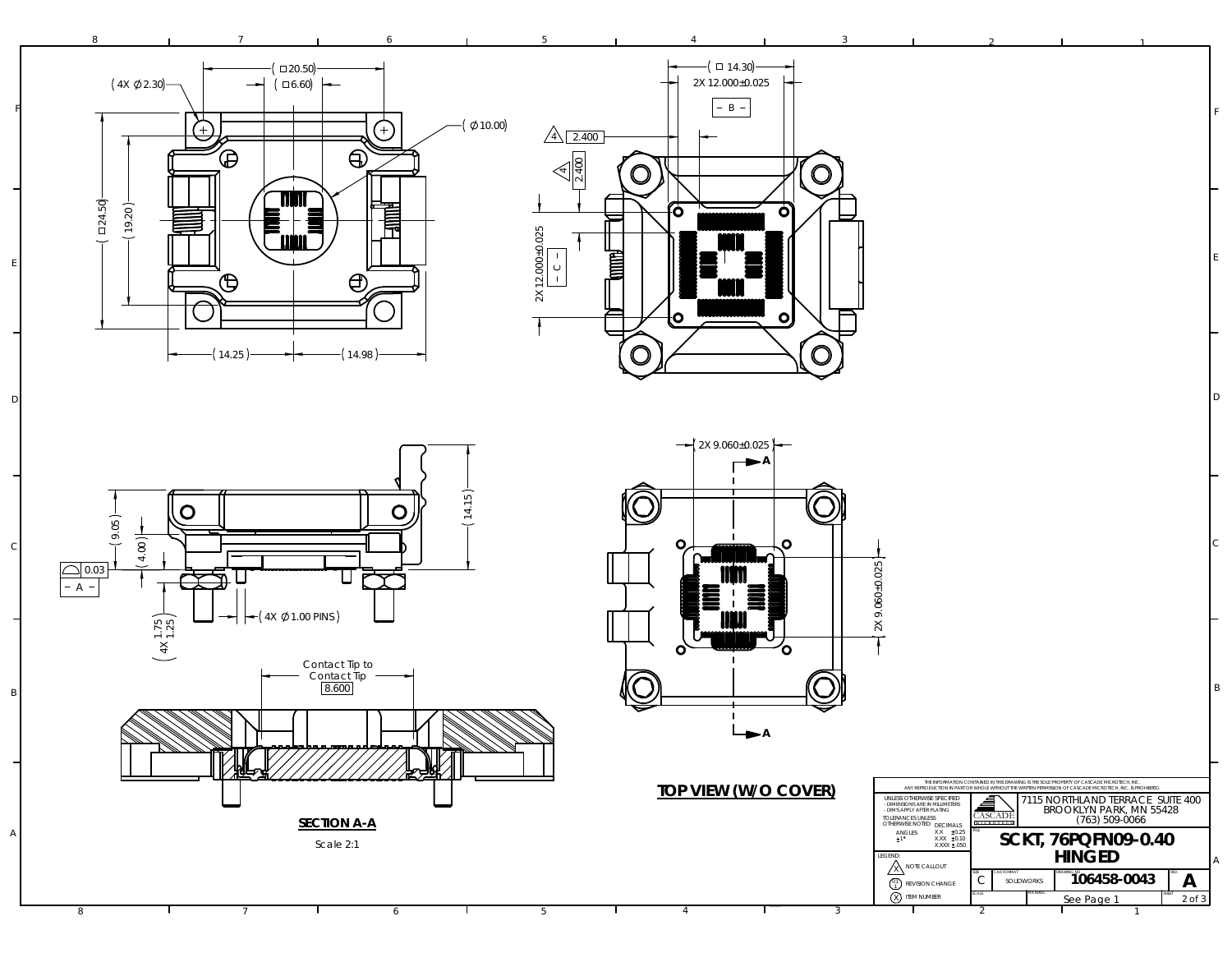